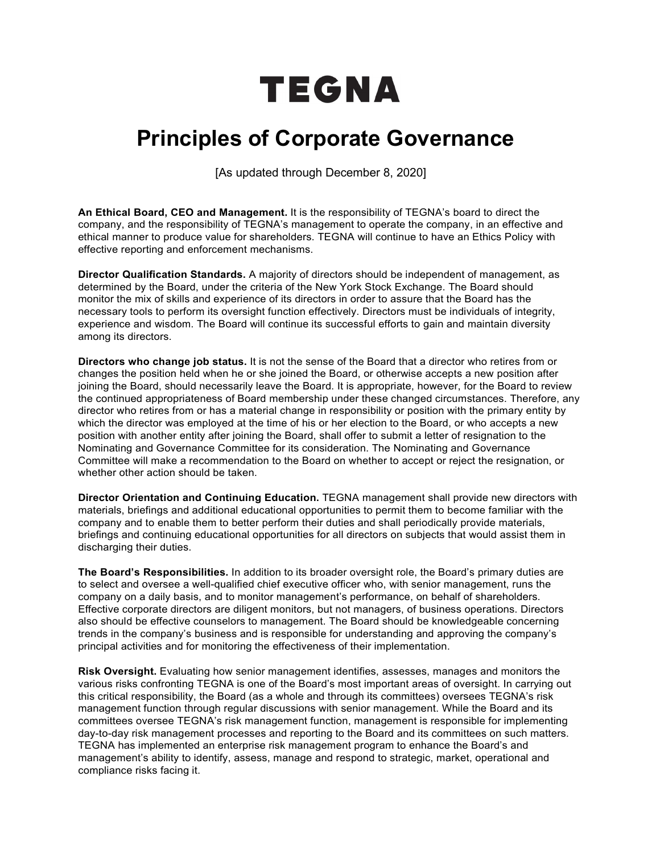## TEGNA

## **Principles of Corporate Governance**

[As updated through December 8, 2020]

**An Ethical Board, CEO and Management.** It is the responsibility of TEGNA's board to direct the company, and the responsibility of TEGNA's management to operate the company, in an effective and ethical manner to produce value for shareholders. TEGNA will continue to have an Ethics Policy with effective reporting and enforcement mechanisms.

**Director Qualification Standards.** A majority of directors should be independent of management, as determined by the Board, under the criteria of the New York Stock Exchange. The Board should monitor the mix of skills and experience of its directors in order to assure that the Board has the necessary tools to perform its oversight function effectively. Directors must be individuals of integrity, experience and wisdom. The Board will continue its successful efforts to gain and maintain diversity among its directors.

**Directors who change job status.** It is not the sense of the Board that a director who retires from or changes the position held when he or she joined the Board, or otherwise accepts a new position after joining the Board, should necessarily leave the Board. It is appropriate, however, for the Board to review the continued appropriateness of Board membership under these changed circumstances. Therefore, any director who retires from or has a material change in responsibility or position with the primary entity by which the director was employed at the time of his or her election to the Board, or who accepts a new position with another entity after joining the Board, shall offer to submit a letter of resignation to the Nominating and Governance Committee for its consideration. The Nominating and Governance Committee will make a recommendation to the Board on whether to accept or reject the resignation, or whether other action should be taken.

**Director Orientation and Continuing Education.** TEGNA management shall provide new directors with materials, briefings and additional educational opportunities to permit them to become familiar with the company and to enable them to better perform their duties and shall periodically provide materials, briefings and continuing educational opportunities for all directors on subjects that would assist them in discharging their duties.

**The Board's Responsibilities.** In addition to its broader oversight role, the Board's primary duties are to select and oversee a well-qualified chief executive officer who, with senior management, runs the company on a daily basis, and to monitor management's performance, on behalf of shareholders. Effective corporate directors are diligent monitors, but not managers, of business operations. Directors also should be effective counselors to management. The Board should be knowledgeable concerning trends in the company's business and is responsible for understanding and approving the company's principal activities and for monitoring the effectiveness of their implementation.

**Risk Oversight.** Evaluating how senior management identifies, assesses, manages and monitors the various risks confronting TEGNA is one of the Board's most important areas of oversight. In carrying out this critical responsibility, the Board (as a whole and through its committees) oversees TEGNA's risk management function through regular discussions with senior management. While the Board and its committees oversee TEGNA's risk management function, management is responsible for implementing day-to-day risk management processes and reporting to the Board and its committees on such matters. TEGNA has implemented an enterprise risk management program to enhance the Board's and management's ability to identify, assess, manage and respond to strategic, market, operational and compliance risks facing it.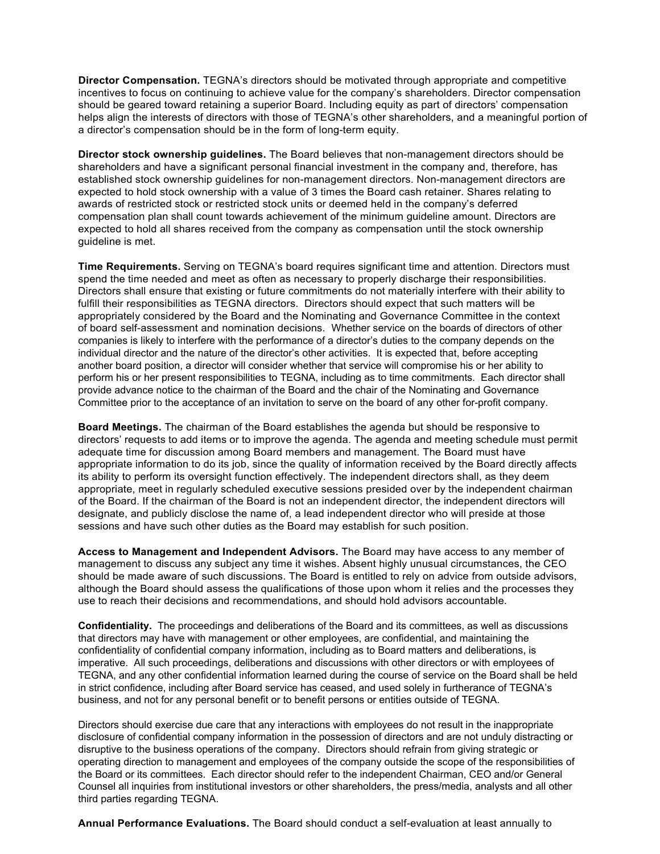**Director Compensation.** TEGNA's directors should be motivated through appropriate and competitive incentives to focus on continuing to achieve value for the company's shareholders. Director compensation should be geared toward retaining a superior Board. Including equity as part of directors' compensation helps align the interests of directors with those of TEGNA's other shareholders, and a meaningful portion of a director's compensation should be in the form of long-term equity.

**Director stock ownership guidelines.** The Board believes that non-management directors should be shareholders and have a significant personal financial investment in the company and, therefore, has established stock ownership guidelines for non-management directors. Non-management directors are expected to hold stock ownership with a value of 3 times the Board cash retainer. Shares relating to awards of restricted stock or restricted stock units or deemed held in the company's deferred compensation plan shall count towards achievement of the minimum guideline amount. Directors are expected to hold all shares received from the company as compensation until the stock ownership guideline is met.

**Time Requirements.** Serving on TEGNA's board requires significant time and attention. Directors must spend the time needed and meet as often as necessary to properly discharge their responsibilities. Directors shall ensure that existing or future commitments do not materially interfere with their ability to fulfill their responsibilities as TEGNA directors. Directors should expect that such matters will be appropriately considered by the Board and the Nominating and Governance Committee in the context of board self-assessment and nomination decisions. Whether service on the boards of directors of other companies is likely to interfere with the performance of a director's duties to the company depends on the individual director and the nature of the director's other activities. It is expected that, before accepting another board position, a director will consider whether that service will compromise his or her ability to perform his or her present responsibilities to TEGNA, including as to time commitments. Each director shall provide advance notice to the chairman of the Board and the chair of the Nominating and Governance Committee prior to the acceptance of an invitation to serve on the board of any other for-profit company.

**Board Meetings.** The chairman of the Board establishes the agenda but should be responsive to directors' requests to add items or to improve the agenda. The agenda and meeting schedule must permit adequate time for discussion among Board members and management. The Board must have appropriate information to do its job, since the quality of information received by the Board directly affects its ability to perform its oversight function effectively. The independent directors shall, as they deem appropriate, meet in regularly scheduled executive sessions presided over by the independent chairman of the Board. If the chairman of the Board is not an independent director, the independent directors will designate, and publicly disclose the name of, a lead independent director who will preside at those sessions and have such other duties as the Board may establish for such position.

**Access to Management and Independent Advisors.** The Board may have access to any member of management to discuss any subject any time it wishes. Absent highly unusual circumstances, the CEO should be made aware of such discussions. The Board is entitled to rely on advice from outside advisors, although the Board should assess the qualifications of those upon whom it relies and the processes they use to reach their decisions and recommendations, and should hold advisors accountable.

**Confidentiality.** The proceedings and deliberations of the Board and its committees, as well as discussions that directors may have with management or other employees, are confidential, and maintaining the confidentiality of confidential company information, including as to Board matters and deliberations, is imperative. All such proceedings, deliberations and discussions with other directors or with employees of TEGNA, and any other confidential information learned during the course of service on the Board shall be held in strict confidence, including after Board service has ceased, and used solely in furtherance of TEGNA's business, and not for any personal benefit or to benefit persons or entities outside of TEGNA.

Directors should exercise due care that any interactions with employees do not result in the inappropriate disclosure of confidential company information in the possession of directors and are not unduly distracting or disruptive to the business operations of the company. Directors should refrain from giving strategic or operating direction to management and employees of the company outside the scope of the responsibilities of the Board or its committees. Each director should refer to the independent Chairman, CEO and/or General Counsel all inquiries from institutional investors or other shareholders, the press/media, analysts and all other third parties regarding TEGNA.

**Annual Performance Evaluations.** The Board should conduct a self-evaluation at least annually to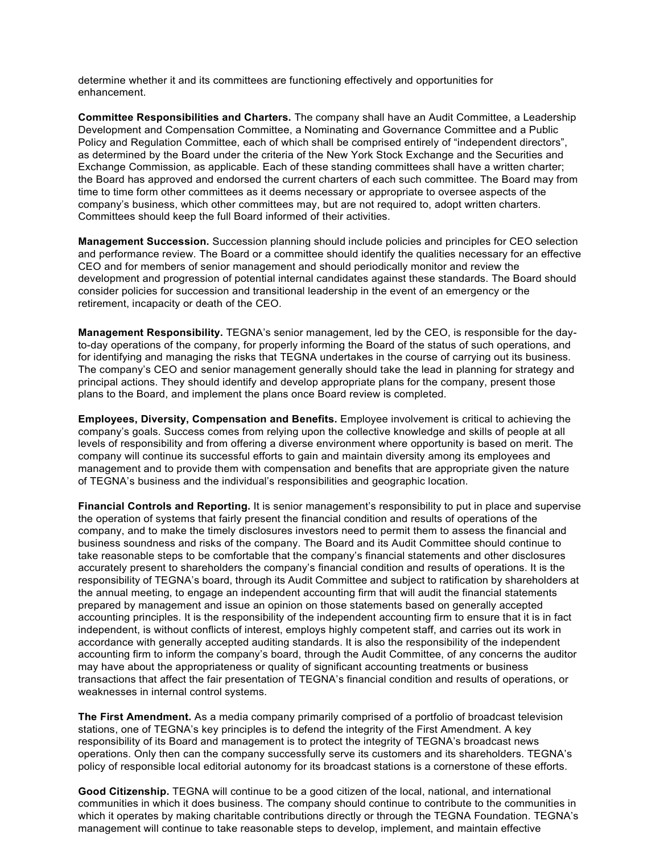determine whether it and its committees are functioning effectively and opportunities for enhancement.

**Committee Responsibilities and Charters.** The company shall have an Audit Committee, a Leadership Development and Compensation Committee, a Nominating and Governance Committee and a Public Policy and Regulation Committee, each of which shall be comprised entirely of "independent directors", as determined by the Board under the criteria of the New York Stock Exchange and the Securities and Exchange Commission, as applicable. Each of these standing committees shall have a written charter; the Board has approved and endorsed the current charters of each such committee. The Board may from time to time form other committees as it deems necessary or appropriate to oversee aspects of the company's business, which other committees may, but are not required to, adopt written charters. Committees should keep the full Board informed of their activities.

**Management Succession.** Succession planning should include policies and principles for CEO selection and performance review. The Board or a committee should identify the qualities necessary for an effective CEO and for members of senior management and should periodically monitor and review the development and progression of potential internal candidates against these standards. The Board should consider policies for succession and transitional leadership in the event of an emergency or the retirement, incapacity or death of the CEO.

**Management Responsibility.** TEGNA's senior management, led by the CEO, is responsible for the dayto-day operations of the company, for properly informing the Board of the status of such operations, and for identifying and managing the risks that TEGNA undertakes in the course of carrying out its business. The company's CEO and senior management generally should take the lead in planning for strategy and principal actions. They should identify and develop appropriate plans for the company, present those plans to the Board, and implement the plans once Board review is completed.

**Employees, Diversity, Compensation and Benefits.** Employee involvement is critical to achieving the company's goals. Success comes from relying upon the collective knowledge and skills of people at all levels of responsibility and from offering a diverse environment where opportunity is based on merit. The company will continue its successful efforts to gain and maintain diversity among its employees and management and to provide them with compensation and benefits that are appropriate given the nature of TEGNA's business and the individual's responsibilities and geographic location.

**Financial Controls and Reporting.** It is senior management's responsibility to put in place and supervise the operation of systems that fairly present the financial condition and results of operations of the company, and to make the timely disclosures investors need to permit them to assess the financial and business soundness and risks of the company. The Board and its Audit Committee should continue to take reasonable steps to be comfortable that the company's financial statements and other disclosures accurately present to shareholders the company's financial condition and results of operations. It is the responsibility of TEGNA's board, through its Audit Committee and subject to ratification by shareholders at the annual meeting, to engage an independent accounting firm that will audit the financial statements prepared by management and issue an opinion on those statements based on generally accepted accounting principles. It is the responsibility of the independent accounting firm to ensure that it is in fact independent, is without conflicts of interest, employs highly competent staff, and carries out its work in accordance with generally accepted auditing standards. It is also the responsibility of the independent accounting firm to inform the company's board, through the Audit Committee, of any concerns the auditor may have about the appropriateness or quality of significant accounting treatments or business transactions that affect the fair presentation of TEGNA's financial condition and results of operations, or weaknesses in internal control systems.

**The First Amendment.** As a media company primarily comprised of a portfolio of broadcast television stations, one of TEGNA's key principles is to defend the integrity of the First Amendment. A key responsibility of its Board and management is to protect the integrity of TEGNA's broadcast news operations. Only then can the company successfully serve its customers and its shareholders. TEGNA's policy of responsible local editorial autonomy for its broadcast stations is a cornerstone of these efforts.

**Good Citizenship.** TEGNA will continue to be a good citizen of the local, national, and international communities in which it does business. The company should continue to contribute to the communities in which it operates by making charitable contributions directly or through the TEGNA Foundation. TEGNA's management will continue to take reasonable steps to develop, implement, and maintain effective